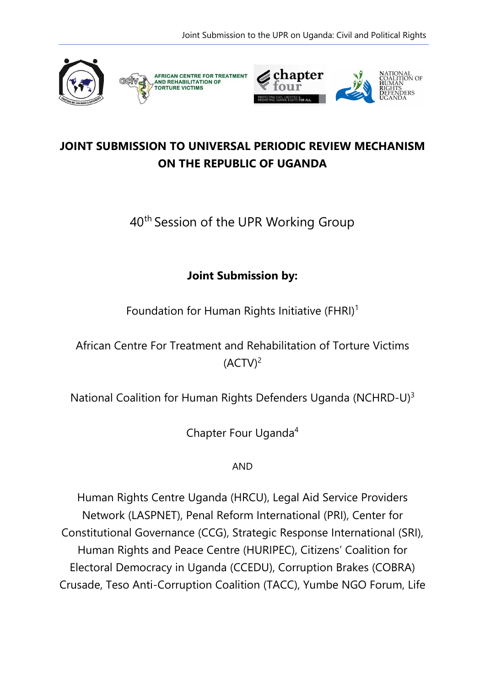

## **JOINT SUBMISSION TO UNIVERSAL PERIODIC REVIEW MECHANISM ON THE REPUBLIC OF UGANDA**

# 40<sup>th</sup> Session of the UPR Working Group

### **Joint Submission by:**

Foundation for Human Rights Initiative (FHRI) $^{\rm 1}$ 

African Centre For Treatment and Rehabilitation of Torture Victims (ACTV) $^2$ 

National Coalition for Human Rights Defenders Uganda (NCHRD-U) $^3$ 

Chapter Four Uganda<sup>4</sup>

AND

Human Rights Centre Uganda (HRCU), Legal Aid Service Providers Network (LASPNET), Penal Reform International (PRI), Center for Constitutional Governance (CCG), Strategic Response International (SRI), Human Rights and Peace Centre (HURIPEC), Citizens' Coalition for Electoral Democracy in Uganda (CCEDU), Corruption Brakes (COBRA) Crusade, Teso Anti-Corruption Coalition (TACC), Yumbe NGO Forum, Life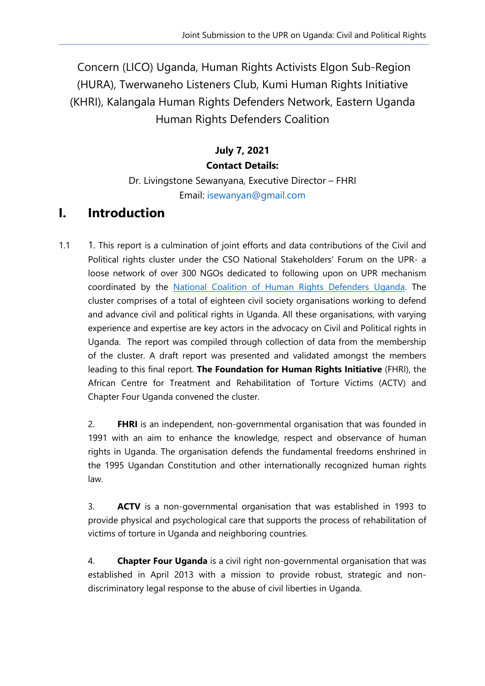Concern (LICO) Uganda, Human Rights Activists Elgon Sub-Region (HURA), Twerwaneho Listeners Club, Kumi Human Rights Initiative (KHRI), Kalangala Human Rights Defenders Network, Eastern Uganda Human Rights Defenders Coalition

### **July 7, 2021 Contact Details:**

### Dr. Livingstone Sewanyana, Executive Director – FHRI Email: [isewanyan@gmail.com](mailto:isewanyan@gmail.com)

## **I. Introduction**

1.1 1. This report is a culmination of joint efforts and data contributions of the Civil and Political rights cluster under the CSO National Stakeholders' Forum on the UPR- <sup>a</sup> loose network of over 300 NGOs dedicated to following upon on UPR mechanism coordinated by the National Coalition of Human Rights [Defenders](http://www.hrdcoalition.ug) Uganda. The cluster comprises of <sup>a</sup> total of eighteen civil society organisations working to defend and advance civil and political rights in Uganda. All these organisations, with varying experience and expertise are key actors in the advocacy on Civil and Political rights in Uganda. The report was compiled through collection of data from the membership of the cluster. A draft report was presented and validated amongs<sup>t</sup> the members leading to this final report. **The Foundation for Human Rights Initiative** (FHRI), the African Centre for Treatment and Rehabilitation of Torture Victims (ACTV) and Chapter Four Uganda convened the cluster.

2. **FHRI** is an independent, non-governmental organisation that was founded in 1991 with an aim to enhance the knowledge, respect and observance of human rights in Uganda. The organisation defends the fundamental freedoms enshrined in the 1995 Ugandan Constitution and other internationally recognized human rights law.

3. **ACTV** is <sup>a</sup> non-governmental organisation that was established in 1993 to provide physical and psychological care that supports the process of rehabilitation of victims of torture in Uganda and neighboring countries.

4. **Chapter Four Uganda** is <sup>a</sup> civil right non-governmental organisation that was established in April 2013 with <sup>a</sup> mission to provide robust, strategic and nondiscriminatory legal response to the abuse of civil liberties in Uganda.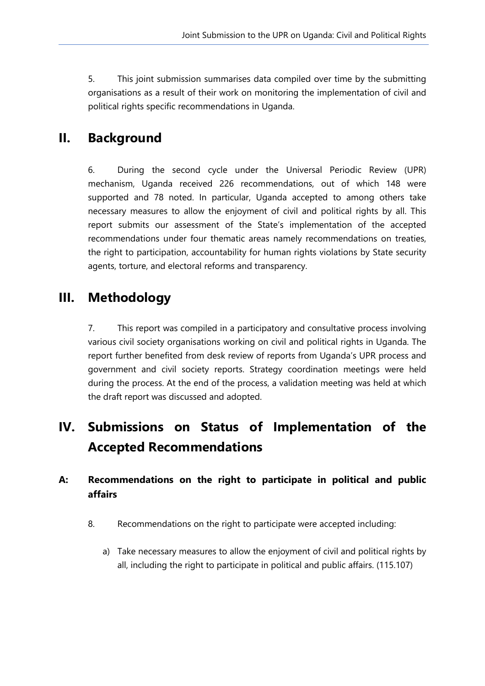5. This joint submission summarises data compiled over time by the submitting organisations as <sup>a</sup> result of their work on monitoring the implementation of civil and political rights specific recommendations in Uganda.

## **II. Background**

6. During the second cycle under the Universal Periodic Review (UPR) mechanism, Uganda received 226 recommendations, out of which 148 were supported and 78 noted. In particular, Uganda accepted to among others take necessary measures to allow the enjoyment of civil and political rights by all. This report submits our assessment of the State'<sup>s</sup> implementation of the accepted recommendations under four thematic areas namely recommendations on treaties, the right to participation, accountability for human rights violations by State security agents, torture, and electoral reforms and transparency.

## **III. Methodology**

7. This report was compiled in <sup>a</sup> participatory and consultative process involving various civil society organisations working on civil and political rights in Uganda. The report further benefited from desk review of reports from Uganda'<sup>s</sup> UPR process and governmen<sup>t</sup> and civil society reports. Strategy coordination meetings were held during the process. At the end of the process, <sup>a</sup> validation meeting was held at which the draft report was discussed and adopted.

# **IV. Submissions on Status of Implementation of the Accepted Recommendations**

### **A: Recommendations on the right to participate in political and public affairs**

- 8. Recommendations on the right to participate were accepted including:
	- a) Take necessary measures to allow the enjoyment of civil and political rights by all, including the right to participate in political and public affairs. (115.107)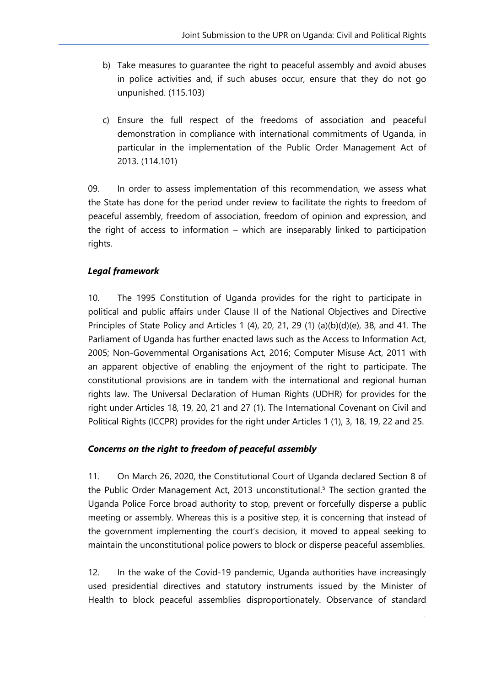- b) Take measures to guarantee the right to peaceful assembly and avoid abuses in police activities and, if such abuses occur, ensure that they do not go unpunished. (115.103)
- c) Ensure the full respect of the freedoms of association and peaceful demonstration in compliance with international commitments of Uganda, in particular in the implementation of the Public Order Management Act of 2013. (114.101)

09. In order to assess implementation of this recommendation, we assess what the State has done for the period under review to facilitate the rights to freedom of peaceful assembly, freedom of association, freedom of opinion and expression, and the right of access to information – which are inseparably linked to participation rights.

#### *Legal framework*

10. The 1995 Constitution of Uganda provides for the right to participate in political and public affairs under Clause II of the National Objectives and Directive Principles of State Policy and Articles 1 (4), 20, 21, 29 (1) (a)(b)(d)(e), 38, and 41. The Parliament of Uganda has further enacted laws such as the Access to Information Act, 2005; Non-Governmental Organisations Act, 2016; Computer Misuse Act, 2011 with an apparent objective of enabling the enjoyment of the right to participate. The constitutional provisions are in tandem with the international and regional human rights law. The Universal Declaration of Human Rights (UDHR) for provides for the right under Articles 18, 19, 20, 21 and 27 (1). The International Covenant on Civil and Political Rights (ICCPR) provides for the right under Articles 1 (1), 3, 18, 19, 22 and 25.

#### *Concerns on the right to freedom of peaceful assembly*

11. On March 26, 2020, the Constitutional Court of Uganda declared Section 8 of the Public Order Management Act, 2013 unconstitutional. 5 The section granted the Uganda Police Force broad authority to stop, prevent or forcefully disperse <sup>a</sup> public meeting or assembly. Whereas this is <sup>a</sup> positive step, it is concerning that instead of the governmen<sup>t</sup> implementing the court'<sup>s</sup> decision, it moved to appeal seeking to maintain the unconstitutional police powers to block or disperse peaceful assemblies.

12. In the wake of the Covid-19 pandemic, Uganda authorities have increasingly used presidential directives and statutory instruments issued by the Minister of Health to block peaceful assemblies disproportionately. Observance of standard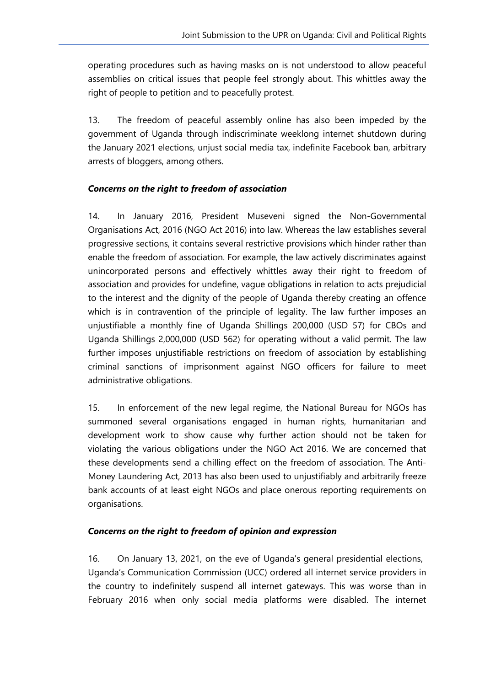operating procedures such as having masks on is not understood to allow peaceful assemblies on critical issues that people feel strongly about. This whittles away the right of people to petition and to peacefully protest.

13. The freedom of peaceful assembly online has also been impeded by the governmen<sup>t</sup> of Uganda through indiscriminate weeklong internet shutdown during the January 2021 elections, unjust social media tax, indefinite Facebook ban, arbitrary arrests of bloggers, among others.

#### *Concerns on the right to freedom of association*

14. In January 2016, President Museveni signed the Non-Governmental Organisations Act, 2016 (NGO Act 2016) into law. Whereas the law establishes several progressive sections, it contains several restrictive provisions which hinder rather than enable the freedom of association. For example, the law actively discriminates against unincorporated persons and effectively whittles away their right to freedom of association and provides for undefine, vague obligations in relation to acts prejudicial to the interest and the dignity of the people of Uganda thereby creating an offence which is in contravention of the principle of legality. The law further imposes an unjustifiable <sup>a</sup> monthly fine of Uganda Shillings 200,000 (USD 57) for CBOs and Uganda Shillings 2,000,000 (USD 562) for operating without <sup>a</sup> valid permit. The law further imposes unjustifiable restrictions on freedom of association by establishing criminal sanctions of imprisonment against NGO officers for failure to meet administrative obligations.

15. In enforcement of the new legal regime, the National Bureau for NGOs has summoned several organisations engaged in human rights, humanitarian and development work to show cause why further action should not be taken for violating the various obligations under the NGO Act 2016. We are concerned that these developments send <sup>a</sup> chilling effect on the freedom of association. The Anti-Money Laundering Act, 2013 has also been used to unjustifiably and arbitrarily freeze bank accounts of at least eight NGOs and place onerous reporting requirements on organisations.

#### *Concerns on the right to freedom of opinion and expression*

16. On January 13, 2021, on the eve of Uganda'<sup>s</sup> general presidential elections, Uganda'<sup>s</sup> Communication Commission (UCC) ordered all internet service providers in the country to indefinitely suspend all internet gateways. This was worse than in February 2016 when only social media platforms were disabled. The internet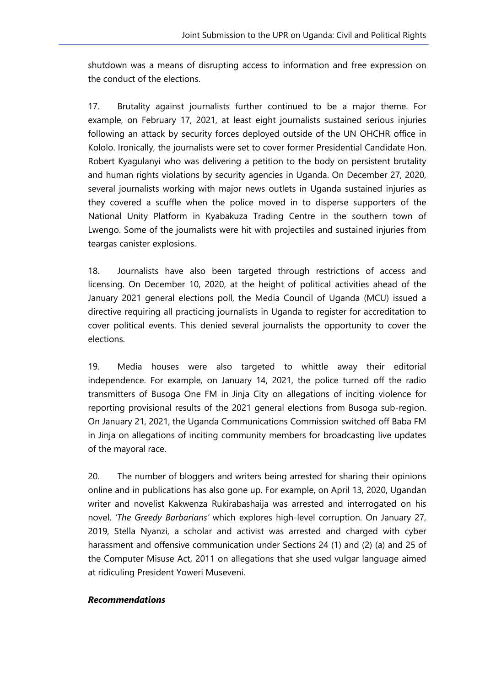shutdown was <sup>a</sup> means of disrupting access to information and free expression on the conduct of the elections.

17. Brutality against journalists further continued to be <sup>a</sup> major theme. For example, on February 17, 2021, at least eight journalists sustained serious injuries following an attack by security forces deployed outside of the UN OHCHR office in Kololo. Ironically, the journalists were set to cover former Presidential Candidate Hon. Robert Kyagulanyi who was delivering <sup>a</sup> petition to the body on persistent brutality and human rights violations by security agencies in Uganda. On December 27, 2020, several journalists working with major news outlets in Uganda sustained injuries as they covered <sup>a</sup> scuffle when the police moved in to disperse supporters of the National Unity Platform in Kyabakuza Trading Centre in the southern town of Lwengo. Some of the journalists were hit with projectiles and sustained injuries from teargas canister explosions.

18. Journalists have also been targeted through restrictions of access and licensing. On December 10, 2020, at the height of political activities ahead of the January 2021 general elections poll, the Media Council of Uganda (MCU) issued <sup>a</sup> directive requiring all practicing journalists in Uganda to register for accreditation to cover political events. This denied several journalists the opportunity to cover the elections.

19. Media houses were also targeted to whittle away their editorial independence. For example, on January 14, 2021, the police turned off the radio transmitters of Busoga One FM in Jinja City on allegations of inciting violence for reporting provisional results of the 2021 general elections from Busoga sub-region. On January 21, 2021, the Uganda Communications Commission switched off Baba FM in Jinja on allegations of inciting community members for broadcasting live updates of the mayoral race.

20. The number of bloggers and writers being arrested for sharing their opinions online and in publications has also gone up. For example, on April 13, 2020, Ugandan writer and novelist Kakwenza Rukirabashaija was arrested and interrogated on his novel, *'The Greedy Barbarians'* which explores high-level corruption. On January 27, 2019, Stella Nyanzi, <sup>a</sup> scholar and activist was arrested and charged with cyber harassment and offensive communication under Sections 24 (1) and (2) (a) and 25 of the Computer Misuse Act, 2011 on allegations that she used vulgar language aimed at ridiculing President Yoweri Museveni.

6

#### *Recommendations*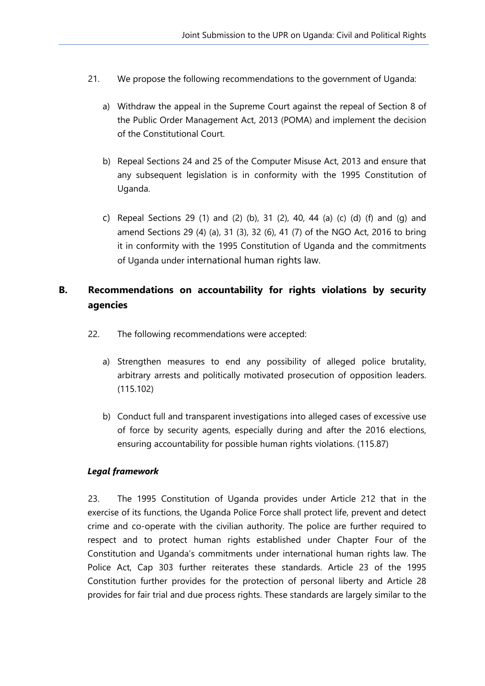- 21. We propose the following recommendations to the governmen<sup>t</sup> of Uganda:
	- a) Withdraw the appeal in the Supreme Court against the repeal of Section 8 of the Public Order Management Act, 2013 (POMA) and implement the decision of the Constitutional Court.
	- b) Repeal Sections 24 and 25 of the Computer Misuse Act, 2013 and ensure that any subsequent legislation is in conformity with the 1995 Constitution of Uganda.
	- c) Repeal Sections 29 (1) and (2) (b), 31 (2), 40, 44 (a) (c) (d) (f) and (q) and amend Sections 29 (4) (a), 31 (3), 32 (6), 41 (7) of the NGO Act, 2016 to bring it in conformity with the 1995 Constitution of Uganda and the commitments of Uganda under international human rights law.

### **B. Recommendations on accountability for rights violations by security agencies**

- 22. The following recommendations were accepted:
	- a) Strengthen measures to end any possibility of alleged police brutality, arbitrary arrests and politically motivated prosecution of opposition leaders. (115.102)
	- b) Conduct full and transparent investigations into alleged cases of excessive use of force by security agents, especially during and after the 2016 elections, ensuring accountability for possible human rights violations. (115.87)

#### *Legal framework*

23. The 1995 Constitution of Uganda provides under Article 212 that in the exercise of its functions, the Uganda Police Force shall protect life, prevent and detect crime and co-operate with the civilian authority. The police are further required to respect and to protect human rights established under Chapter Four of the Constitution and Uganda'<sup>s</sup> commitments under international human rights law. The Police Act, Cap 303 further reiterates these standards. Article 23 of the 1995 Constitution further provides for the protection of personal liberty and Article 28 provides for fair trial and due process rights. These standards are largely similar to the

7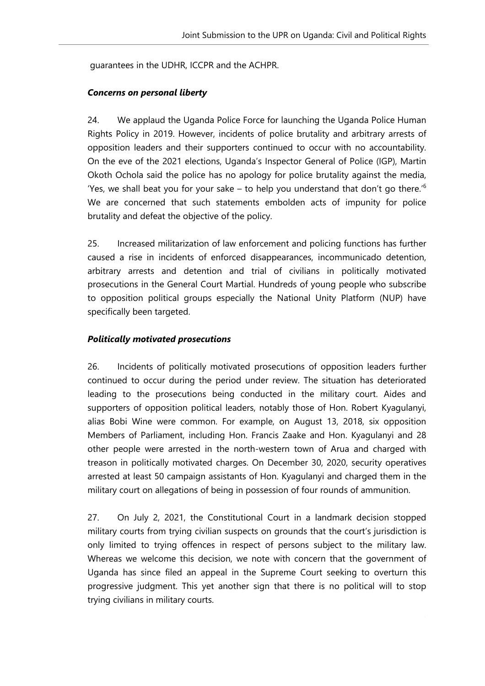guarantees in the UDHR, ICCPR and the ACHPR.

#### *Concerns on personal liberty*

24. We applaud the Uganda Police Force for launching the Uganda Police Human Rights Policy in 2019. However, incidents of police brutality and arbitrary arrests of opposition leaders and their supporters continued to occur with no accountability. On the eve of the 2021 elections, Uganda'<sup>s</sup> Inspector General of Police (IGP), Martin Okoth Ochola said the police has no apology for police brutality against the media, 'Yes, we shall beat you for your sake – to help you understand that don't go there.' $\rm ^6$ We are concerned that such statements embolden acts of impunity for police brutality and defeat the objective of the policy.

25. Increased militarization of law enforcement and policing functions has further caused <sup>a</sup> rise in incidents of enforced disappearances, incommunicado detention, arbitrary arrests and detention and trial of civilians in politically motivated prosecutions in the General Court Martial. Hundreds of young people who subscribe to opposition political groups especially the National Unity Platform (NUP) have specifically been targeted.

#### *Politically motivated prosecutions*

26. Incidents of politically motivated prosecutions of opposition leaders further continued to occur during the period under review. The situation has deteriorated leading to the prosecutions being conducted in the military court. Aides and supporters of opposition political leaders, notably those of Hon. Robert Kyagulanyi, alias Bobi Wine were common. For example, on August 13, 2018, six opposition Members of Parliament, including Hon. Francis Zaake and Hon. Kyagulanyi and 28 other people were arrested in the north-western town of Arua and charged with treason in politically motivated charges. On December 30, 2020, security operatives arrested at least 50 campaign assistants of Hon. Kyagulanyi and charged them in the military court on allegations of being in possession of four rounds of ammunition.

27. On July 2, 2021, the Constitutional Court in <sup>a</sup> landmark decision stopped military courts from trying civilian suspects on grounds that the court'<sup>s</sup> jurisdiction is only limited to trying offences in respect of persons subject to the military law. Whereas we welcome this decision, we note with concern that the governmen<sup>t</sup> of Uganda has since filed an appeal in the Supreme Court seeking to overturn this progressive judgment. This ye<sup>t</sup> another sign that there is no political will to stop trying civilians in military courts.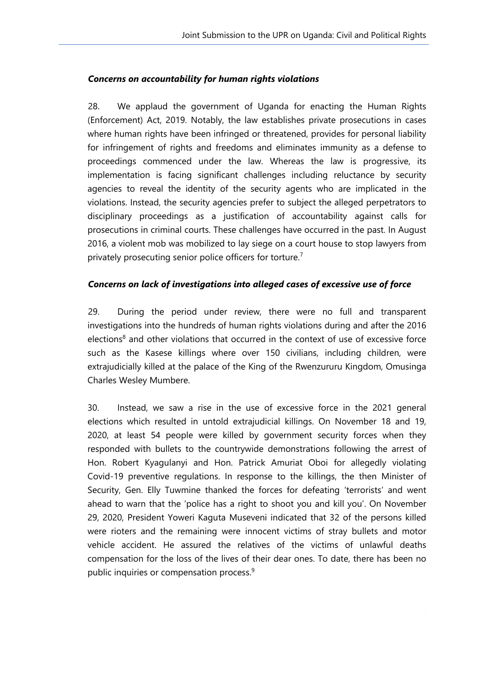#### *Concerns on accountability for human rights violations*

28. We applaud the governmen<sup>t</sup> of Uganda for enacting the Human Rights (Enforcement) Act, 2019. Notably, the law establishes private prosecutions in cases where human rights have been infringed or threatened, provides for personal liability for infringement of rights and freedoms and eliminates immunity as <sup>a</sup> defense to proceedings commenced under the law. Whereas the law is progressive, its implementation is facing significant challenges including reluctance by security agencies to reveal the identity of the security agents who are implicated in the violations. Instead, the security agencies prefer to subject the alleged perpetrators to disciplinary proceedings as <sup>a</sup> justification of accountability against calls for prosecutions in criminal courts. These challenges have occurred in the past. In August 2016, <sup>a</sup> violent mob was mobilized to lay siege on <sup>a</sup> court house to stop lawyers from privately prosecuting senior police officers for torture.<sup>7</sup>

#### *Concerns on lack of investigations into alleged cases of excessive use of force*

29. During the period under review, there were no full and transparent investigations into the hundreds of human rights violations during and after the 2016 elections<sup>8</sup> and other violations that occurred in the context of use of excessive force such as the Kasese killings where over 150 civilians, including children, were extrajudicially killed at the palace of the King of the Rwenzururu Kingdom, Omusinga Charles Wesley Mumbere.

30. Instead, we saw <sup>a</sup> rise in the use of excessive force in the 2021 general elections which resulted in untold extrajudicial killings. On November 18 and 19, 2020, at least 54 people were killed by governmen<sup>t</sup> security forces when they responded with bullets to the countrywide demonstrations following the arrest of Hon. Robert Kyagulanyi and Hon. Patrick Amuriat Oboi for allegedly violating Covid-19 preventive regulations. In response to the killings, the then Minister of Security, Gen. Elly Tuwmine thanked the forces for defeating 'terrorists' and went ahead to warn that the 'police has <sup>a</sup> right to shoot you and kill you'. On November 29, 2020, President Yoweri Kaguta Museveni indicated that 32 of the persons killed were rioters and the remaining were innocent victims of stray bullets and motor vehicle accident. He assured the relatives of the victims of unlawful deaths compensation for the loss of the lives of their dear ones. To date, there has been no public inquiries or compensation process. 9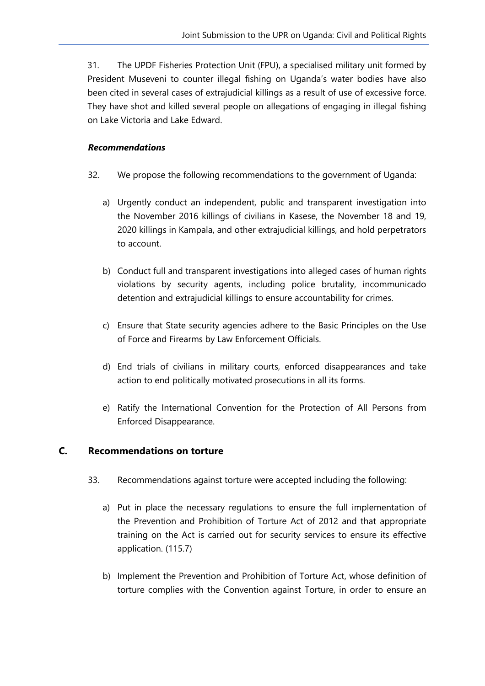31. The UPDF Fisheries Protection Unit (FPU), <sup>a</sup> specialised military unit formed by President Museveni to counter illegal fishing on Uganda'<sup>s</sup> water bodies have also been cited in several cases of extrajudicial killings as <sup>a</sup> result of use of excessive force. They have shot and killed several people on allegations of engaging in illegal fishing on Lake Victoria and Lake Edward.

#### *Recommendations*

- 32. We propose the following recommendations to the governmen<sup>t</sup> of Uganda:
	- a) Urgently conduct an independent, public and transparent investigation into the November 2016 killings of civilians in Kasese, the November 18 and 19, 2020 killings in Kampala, and other extrajudicial killings, and hold perpetrators to account.
	- b) Conduct full and transparent investigations into alleged cases of human rights violations by security agents, including police brutality, incommunicado detention and extrajudicial killings to ensure accountability for crimes.
	- c) Ensure that State security agencies adhere to the Basic Principles on the Use of Force and Firearms by Law Enforcement Officials.
	- d) End trials of civilians in military courts, enforced disappearances and take action to end politically motivated prosecutions in all its forms.
	- e) Ratify the International Convention for the Protection of All Persons from Enforced Disappearance.

#### **C. Recommendations on torture**

- 33. Recommendations against torture were accepted including the following:
	- a) Put in place the necessary regulations to ensure the full implementation of the Prevention and Prohibition of Torture Act of 2012 and that appropriate training on the Act is carried out for security services to ensure its effective application. (115.7)
	- b) Implement the Prevention and Prohibition of Torture Act, whose definition of torture complies with the Convention against Torture, in order to ensure an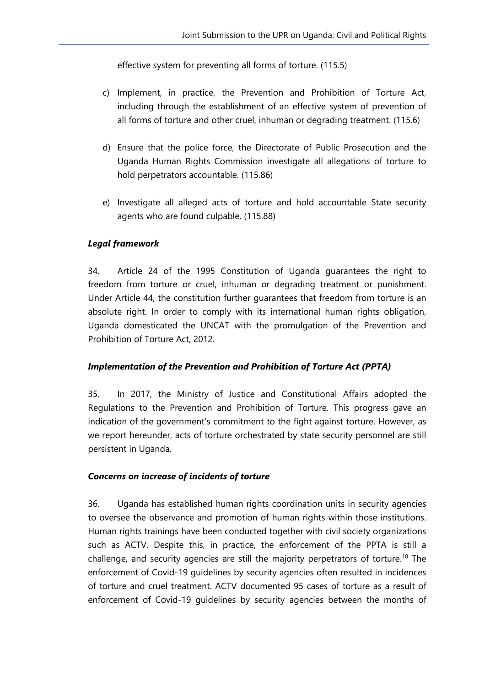effective system for preventing all forms of torture. (115.5)

- c) Implement, in practice, the Prevention and Prohibition of Torture Act, including through the establishment of an effective system of prevention of all forms of torture and other cruel, inhuman or degrading treatment. (115.6)
- d) Ensure that the police force, the Directorate of Public Prosecution and the Uganda Human Rights Commission investigate all allegations of torture to hold perpetrators accountable. (115.86)
- e) Investigate all alleged acts of torture and hold accountable State security agents who are found culpable. (115.88)

#### *Legal framework*

34. Article 24 of the 1995 Constitution of Uganda guarantees the right to freedom from torture or cruel, inhuman or degrading treatment or punishment. Under Article 44, the constitution further guarantees that freedom from torture is an absolute right. In order to comply with its international human rights obligation, Uganda domesticated the UNCAT with the promulgation of the Prevention and Prohibition of Torture Act, 2012.

#### *Implementation of the Prevention and Prohibition of Torture Act (PPTA)*

35. In 2017, the Ministry of Justice and Constitutional Affairs adopted the Regulations to the Prevention and Prohibition of Torture. This progress gave an indication of the government'<sup>s</sup> commitment to the fight against torture. However, as we report hereunder, acts of torture orchestrated by state security personnel are still persistent in Uganda.

#### *Concerns on increase of incidents of torture*

36. Uganda has established human rights coordination units in security agencies to oversee the observance and promotion of human rights within those institutions. Human rights trainings have been conducted together with civil society organizations such as ACTV. Despite this, in practice, the enforcement of the PPTA is still <sup>a</sup> challenge, and security agencies are still the majority perpetrators of torture.<sup>10</sup> The enforcement of Covid-19 guidelines by security agencies often resulted in incidences of torture and cruel treatment. ACTV documented 95 cases of torture as <sup>a</sup> result of enforcement of Covid-19 guidelines by security agencies between the months of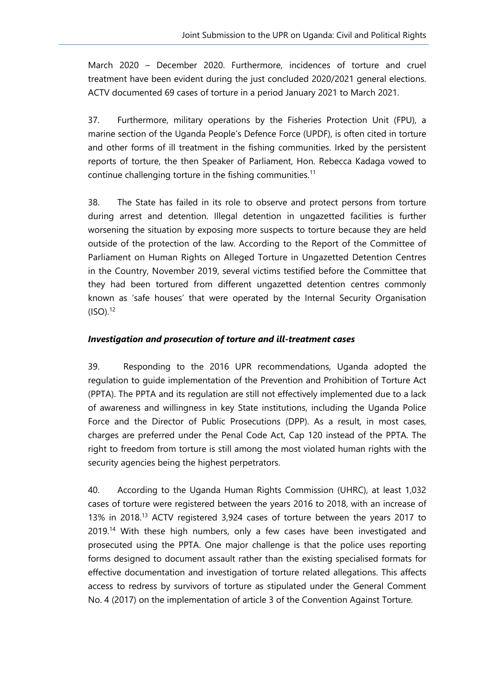March 2020 – December 2020. Furthermore, incidences of torture and cruel treatment have been evident during the just concluded 2020/2021 general elections. ACTV documented 69 cases of torture in <sup>a</sup> period January 2021 to March 2021.

37. Furthermore, military operations by the Fisheries Protection Unit (FPU), <sup>a</sup> marine section of the Uganda People'<sup>s</sup> Defence Force (UPDF), is often cited in torture and other forms of ill treatment in the fishing communities. Irked by the persistent reports of torture, the then Speaker of Parliament, Hon. Rebecca Kadaga vowed to continue challenging torture in the fishing communities.<sup>11</sup>

38. The State has failed in its role to observe and protect persons from torture during arrest and detention. Illegal detention in ungazetted facilities is further worsening the situation by exposing more suspects to torture because they are held outside of the protection of the law. According to the Report of the Committee of Parliament on Human Rights on Alleged Torture in Ungazetted Detention Centres in the Country, November 2019, several victims testified before the Committee that they had been tortured from different ungazetted detention centres commonly known as 'safe houses' that were operated by the Internal Security Organisation (ISO). 12

#### *Investigation and prosecution of torture and ill-treatment cases*

39. Responding to the 2016 UPR recommendations, Uganda adopted the regulation to guide implementation of the Prevention and Prohibition of Torture Act (PPTA). The PPTA and its regulation are still not effectively implemented due to <sup>a</sup> lack of awareness and willingness in key State institutions, including the Uganda Police Force and the Director of Public Prosecutions (DPP). As <sup>a</sup> result, in most cases, charges are preferred under the Penal Code Act, Cap 120 instead of the PPTA. The right to freedom from torture is still among the most violated human rights with the security agencies being the highest perpetrators.

40. According to the Uganda Human Rights Commission (UHRC), at least 1,032 cases of torture were registered between the years 2016 to 2018, with an increase of 13% in 2018.<sup>13</sup> ACTV registered 3,924 cases of torture between the years 2017 to 2019.<sup>14</sup> With these high numbers, only a few cases have been investigated and prosecuted using the PPTA. One major challenge is that the police uses reporting forms designed to document assault rather than the existing specialised formats for effective documentation and investigation of torture related allegations. This affects access to redress by survivors of torture as stipulated under the General Comment No. 4 (2017) on the implementation of article 3 of the Convention Against Torture.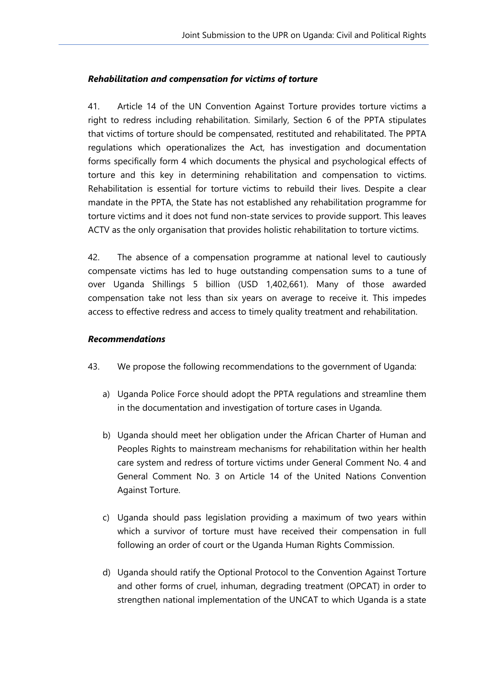#### *Rehabilitation and compensation for victims of torture*

41. Article 14 of the UN Convention Against Torture provides torture victims <sup>a</sup> right to redress including rehabilitation. Similarly, Section 6 of the PPTA stipulates that victims of torture should be compensated, restituted and rehabilitated. The PPTA regulations which operationalizes the Act, has investigation and documentation forms specifically form 4 which documents the physical and psychological effects of torture and this key in determining rehabilitation and compensation to victims. Rehabilitation is essential for torture victims to rebuild their lives. Despite <sup>a</sup> clear mandate in the PPTA, the State has not established any rehabilitation programme for torture victims and it does not fund non-state services to provide support. This leaves ACTV as the only organisation that provides holistic rehabilitation to torture victims.

42. The absence of <sup>a</sup> compensation programme at national level to cautiously compensate victims has led to huge outstanding compensation sums to <sup>a</sup> tune of over Uganda Shillings 5 billion (USD 1,402,661). Many of those awarded compensation take not less than six years on average to receive it. This impedes access to effective redress and access to timely quality treatment and rehabilitation.

#### *Recommendations*

- 43. We propose the following recommendations to the governmen<sup>t</sup> of Uganda:
	- a) Uganda Police Force should adopt the PPTA regulations and streamline them in the documentation and investigation of torture cases in Uganda.
	- b) Uganda should meet her obligation under the African Charter of Human and Peoples Rights to mainstream mechanisms for rehabilitation within her health care system and redress of torture victims under General Comment No. 4 and General Comment No. 3 on Article 14 of the United Nations Convention Against Torture.
	- c) Uganda should pass legislation providing <sup>a</sup> maximum of two years within which <sup>a</sup> survivor of torture must have received their compensation in full following an order of court or the Uganda Human Rights Commission.
	- d) Uganda should ratify the Optional Protocol to the Convention Against Torture and other forms of cruel, inhuman, degrading treatment (OPCAT) in order to strengthen national implementation of the UNCAT to which Uganda is <sup>a</sup> state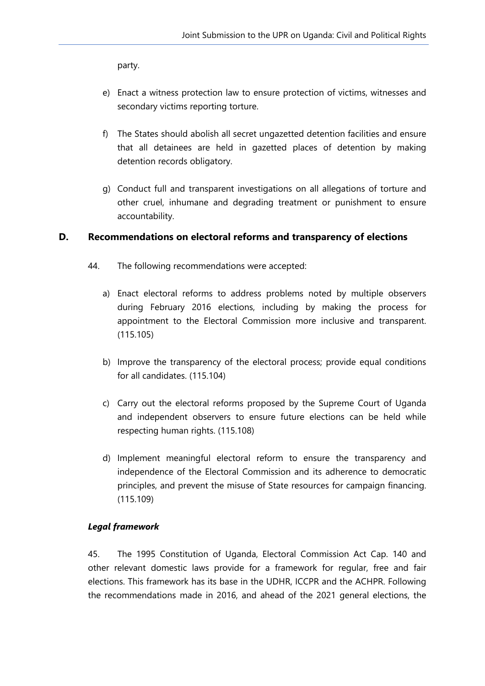party.

- e) Enact <sup>a</sup> witness protection law to ensure protection of victims, witnesses and secondary victims reporting torture.
- f) The States should abolish all secret ungazetted detention facilities and ensure that all detainees are held in gazetted places of detention by making detention records obligatory.
- g) Conduct full and transparent investigations on all allegations of torture and other cruel, inhumane and degrading treatment or punishment to ensure accountability.

#### **D. Recommendations on electoral reforms and transparency of elections**

- 44. The following recommendations were accepted:
	- a) Enact electoral reforms to address problems noted by multiple observers during February 2016 elections, including by making the process for appointment to the Electoral Commission more inclusive and transparent. (115.105)
	- b) Improve the transparency of the electoral process; provide equal conditions for all candidates. (115.104)
	- c) Carry out the electoral reforms proposed by the Supreme Court of Uganda and independent observers to ensure future elections can be held while respecting human rights. (115.108)
	- d) Implement meaningful electoral reform to ensure the transparency and independence of the Electoral Commission and its adherence to democratic principles, and prevent the misuse of State resources for campaign financing. (115.109)

#### *Legal framework*

45. The 1995 Constitution of Uganda, Electoral Commission Act Cap. 140 and other relevant domestic laws provide for <sup>a</sup> framework for regular, free and fair elections. This framework has its base in the UDHR, ICCPR and the ACHPR. Following the recommendations made in 2016, and ahead of the 2021 general elections, the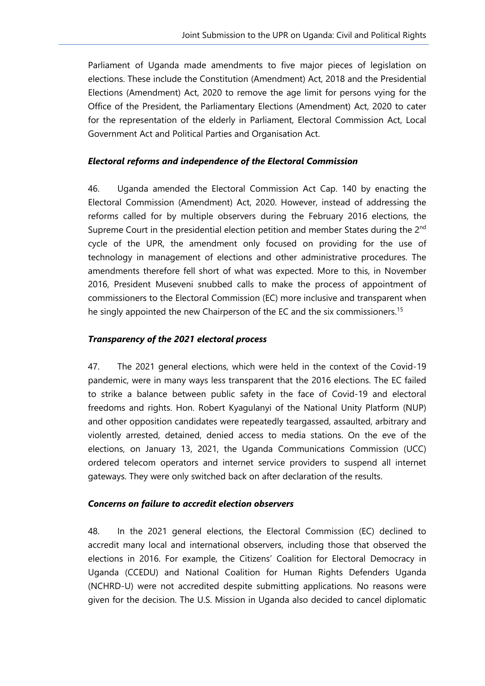Parliament of Uganda made amendments to five major pieces of legislation on elections. These include the Constitution (Amendment) Act, 2018 and the Presidential Elections (Amendment) Act, 2020 to remove the age limit for persons vying for the Office of the President, the Parliamentary Elections (Amendment) Act, 2020 to cater for the representation of the elderly in Parliament, Electoral Commission Act, Local Government Act and Political Parties and Organisation Act.

#### *Electoral reforms and independence of the Electoral Commission*

46. Uganda amended the Electoral Commission Act Cap. 140 by enacting the Electoral Commission (Amendment) Act, 2020. However, instead of addressing the reforms called for by multiple observers during the February 2016 elections, the Supreme Court in the presidential election petition and member States during the 2<sup>nd</sup> cycle of the UPR, the amendment only focused on providing for the use of technology in managemen<sup>t</sup> of elections and other administrative procedures. The amendments therefore fell short of what was expected. More to this, in November 2016, President Museveni snubbed calls to make the process of appointment of commissioners to the Electoral Commission (EC) more inclusive and transparent when he singly appointed the new Chairperson of the EC and the six commissioners.<sup>15</sup>

#### *Transparency of the 2021 electoral process*

47. The 2021 general elections, which were held in the context of the Covid-19 pandemic, were in many ways less transparent that the 2016 elections. The EC failed to strike <sup>a</sup> balance between public safety in the face of Covid-19 and electoral freedoms and rights. Hon. Robert Kyagulanyi of the National Unity Platform (NUP) and other opposition candidates were repeatedly teargassed, assaulted, arbitrary and violently arrested, detained, denied access to media stations. On the eve of the elections, on January 13, 2021, the Uganda Communications Commission (UCC) ordered telecom operators and internet service providers to suspend all internet gateways. They were only switched back on after declaration of the results.

#### *Concerns on failure to accredit election observers*

48. In the 2021 general elections, the Electoral Commission (EC) declined to accredit many local and international observers, including those that observed the elections in 2016. For example, the Citizens' Coalition for Electoral Democracy in Uganda (CCEDU) and National Coalition for Human Rights Defenders Uganda (NCHRD-U) were not accredited despite submitting applications. No reasons were given for the decision. The U.S. Mission in Uganda also decided to cancel diplomatic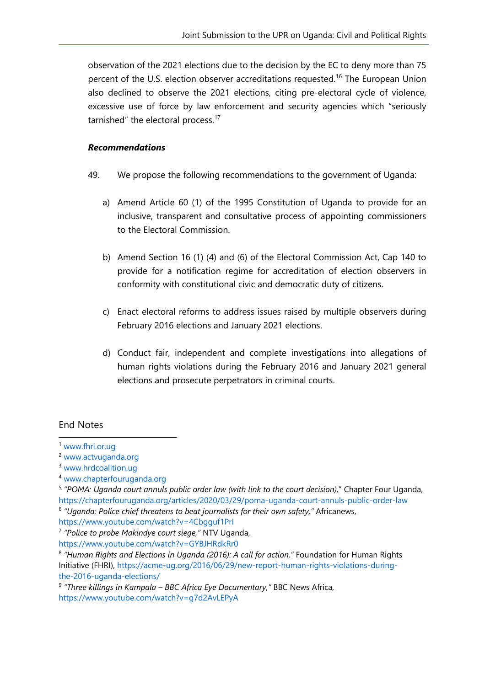observation of the 2021 elections due to the decision by the EC to deny more than 75 percent of the U.S. election observer accreditations requested.<sup>16</sup> The European Union also declined to observe the 2021 elections, citing pre-electoral cycle of violence, excessive use of force by law enforcement and security agencies which "seriously tarnished" the electoral process.<sup>17</sup>

#### *Recommendations*

- 49. We propose the following recommendations to the governmen<sup>t</sup> of Uganda:
	- a) Amend Article 60 (1) of the 1995 Constitution of Uganda to provide for an inclusive, transparent and consultative process of appointing commissioners to the Electoral Commission.
	- b) Amend Section 16 (1) (4) and (6) of the Electoral Commission Act, Cap 140 to provide for <sup>a</sup> notification regime for accreditation of election observers in conformity with constitutional civic and democratic duty of citizens.
	- c) Enact electoral reforms to address issues raised by multiple observers during February 2016 elections and January 2021 elections.
	- d) Conduct fair, independent and complete investigations into allegations of human rights violations during the February 2016 and January 2021 general elections and prosecute perpetrators in criminal courts.

#### End Notes

<https://www.youtube.com/watch?v=4Cbgguf1PrI>

<sup>1</sup> [www.fhri.or.ug](http://www.fhri.or.ug)

<sup>2</sup> [www.actvuganda.org](http://www.actvuganda.org)

<sup>&</sup>lt;sup>3</sup> [www.hrdcoalition.ug](http://www.hrdcoalition.ug)

<sup>4</sup> [www.chapterfouruganda.org](http://www.chapterfouruganda.org)

<sup>5</sup> *"POMA: Uganda court annuls public order law (with link to the court decision),*" Chapter Four Uganda, <https://chapterfouruganda.org/articles/2020/03/29/poma-uganda-court-annuls-public-order-law> 6 *"Uganda: Police chief threatens to beat journalists for their own safety,"* Africanews,

<sup>7</sup> *"Police to probe Makindye court siege,"* NTV Uganda,

<https://www.youtube.com/watch?v=GYBJHRdkRr0>

<sup>8</sup> *"Human Rights and Elections in Uganda (2016): A call for action,"* Foundation for Human Rights Initiative (FHRI), [https://acme-ug.org/2016/06/29/new-report-human-rights-violations-during](https://acme-ug.org/2016/06/29/new-report-human-rights-violations-during-the-2016-uganda-elections/)[the-2016-uganda-elections/](https://acme-ug.org/2016/06/29/new-report-human-rights-violations-during-the-2016-uganda-elections/)

<sup>9</sup> *"Three killings in Kampala – BBC Africa Eye Documentary,"* BBC News Africa, <https://www.youtube.com/watch?v=g7d2AvLEPyA>